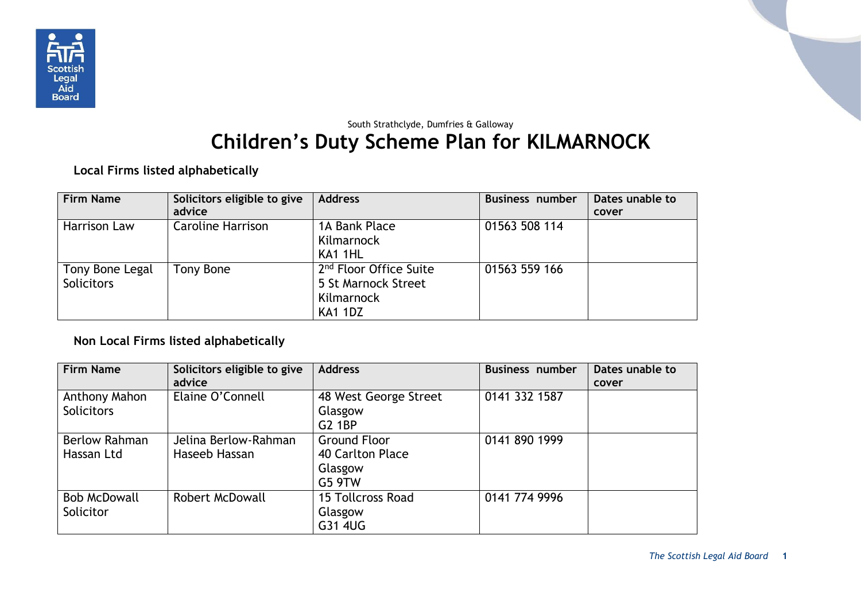

## South Strathclyde, Dumfries & Galloway **Children's Duty Scheme Plan for KILMARNOCK**

**Local Firms listed alphabetically**

| <b>Firm Name</b>    | Solicitors eligible to give | <b>Address</b>                     | Business number | Dates unable to |
|---------------------|-----------------------------|------------------------------------|-----------------|-----------------|
|                     | advice                      |                                    |                 | cover           |
| <b>Harrison Law</b> | <b>Caroline Harrison</b>    | 1A Bank Place                      | 01563 508 114   |                 |
|                     |                             | Kilmarnock                         |                 |                 |
|                     |                             | KA1 1HL                            |                 |                 |
| Tony Bone Legal     | Tony Bone                   | 2 <sup>nd</sup> Floor Office Suite | 01563 559 166   |                 |
| <b>Solicitors</b>   |                             | 5 St Marnock Street                |                 |                 |
|                     |                             | Kilmarnock                         |                 |                 |
|                     |                             | <b>KA1 1DZ</b>                     |                 |                 |

## **Non Local Firms listed alphabetically**

| <b>Firm Name</b>                   | Solicitors eligible to give<br>advice | <b>Address</b>                                                                | <b>Business number</b> | Dates unable to<br>cover |
|------------------------------------|---------------------------------------|-------------------------------------------------------------------------------|------------------------|--------------------------|
| Anthony Mahon<br><b>Solicitors</b> | Elaine O'Connell                      | 48 West George Street<br>Glasgow                                              | 0141 332 1587          |                          |
| <b>Berlow Rahman</b><br>Hassan Ltd | Jelina Berlow-Rahman<br>Haseeb Hassan | <b>G2 1BP</b><br><b>Ground Floor</b><br>40 Carlton Place<br>Glasgow<br>G5 9TW | 0141 890 1999          |                          |
| <b>Bob McDowall</b><br>Solicitor   | <b>Robert McDowall</b>                | 15 Tollcross Road<br>Glasgow<br>G31 4UG                                       | 0141 774 9996          |                          |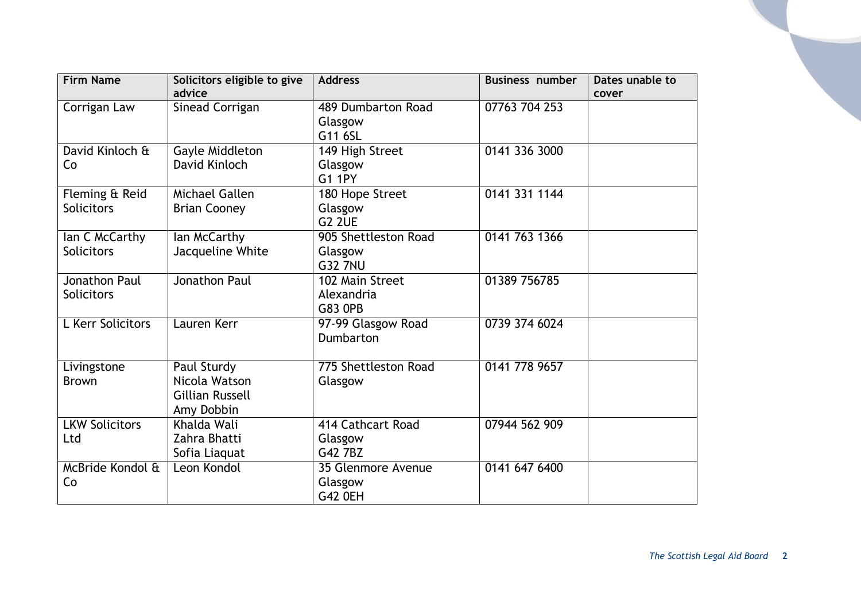| <b>Firm Name</b>      | Solicitors eligible to give | <b>Address</b>       | <b>Business number</b> | Dates unable to |
|-----------------------|-----------------------------|----------------------|------------------------|-----------------|
|                       | advice                      |                      |                        | cover           |
| Corrigan Law          | Sinead Corrigan             | 489 Dumbarton Road   | 07763 704 253          |                 |
|                       |                             | Glasgow              |                        |                 |
|                       |                             | G11 6SL              |                        |                 |
| David Kinloch &       | Gayle Middleton             | 149 High Street      | 0141 336 3000          |                 |
| Co                    | David Kinloch               | Glasgow              |                        |                 |
|                       |                             | <b>G1 1PY</b>        |                        |                 |
| Fleming & Reid        | Michael Gallen              | 180 Hope Street      | 0141 331 1144          |                 |
| <b>Solicitors</b>     | <b>Brian Cooney</b>         | Glasgow              |                        |                 |
|                       |                             | <b>G2 2UE</b>        |                        |                 |
| lan C McCarthy        | lan McCarthy                | 905 Shettleston Road | 0141 763 1366          |                 |
| <b>Solicitors</b>     | Jacqueline White            | Glasgow              |                        |                 |
|                       |                             | <b>G32 7NU</b>       |                        |                 |
| <b>Jonathon Paul</b>  | Jonathon Paul               | 102 Main Street      | 01389 756785           |                 |
| <b>Solicitors</b>     |                             | Alexandria           |                        |                 |
|                       |                             | <b>G83 OPB</b>       |                        |                 |
| L Kerr Solicitors     | Lauren Kerr                 | 97-99 Glasgow Road   | 0739 374 6024          |                 |
|                       |                             | Dumbarton            |                        |                 |
|                       |                             |                      |                        |                 |
| Livingstone           | Paul Sturdy                 | 775 Shettleston Road | 0141 778 9657          |                 |
| <b>Brown</b>          | Nicola Watson               | Glasgow              |                        |                 |
|                       | <b>Gillian Russell</b>      |                      |                        |                 |
|                       | Amy Dobbin                  |                      |                        |                 |
| <b>LKW Solicitors</b> | Khalda Wali                 | 414 Cathcart Road    | 07944 562 909          |                 |
| Ltd                   | Zahra Bhatti                | Glasgow              |                        |                 |
|                       | Sofia Liaquat               | G42 7BZ              |                        |                 |
| McBride Kondol &      | Leon Kondol                 | 35 Glenmore Avenue   | 0141 647 6400          |                 |
| Co                    |                             |                      |                        |                 |
|                       |                             | Glasgow              |                        |                 |
|                       |                             | <b>G42 OEH</b>       |                        |                 |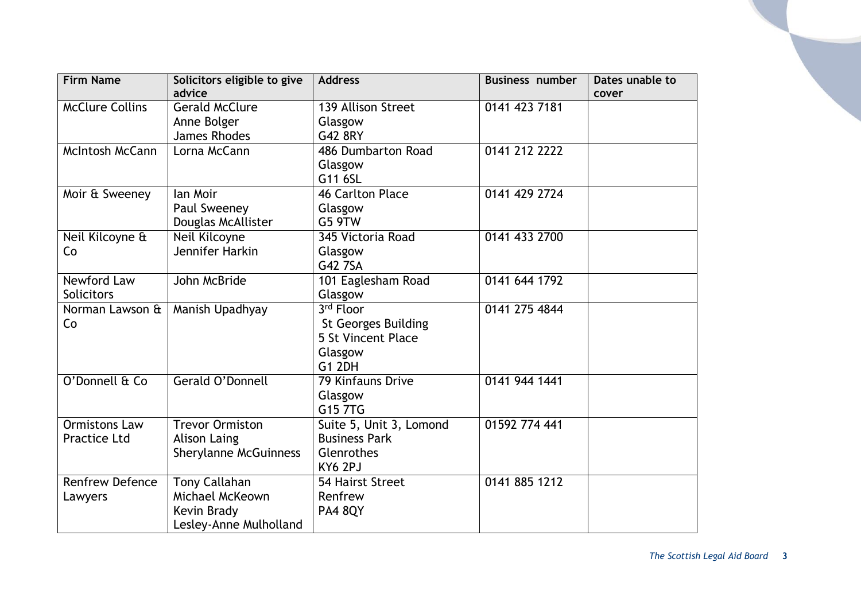| <b>Firm Name</b>       | Solicitors eligible to give  | <b>Address</b>             | <b>Business number</b> | Dates unable to |
|------------------------|------------------------------|----------------------------|------------------------|-----------------|
|                        | advice                       |                            |                        | cover           |
| <b>McClure Collins</b> | <b>Gerald McClure</b>        | 139 Allison Street         | 0141 423 7181          |                 |
|                        | Anne Bolger                  | Glasgow                    |                        |                 |
|                        | James Rhodes                 | G42 8RY                    |                        |                 |
| <b>McIntosh McCann</b> | Lorna McCann                 | 486 Dumbarton Road         | 0141 212 2222          |                 |
|                        |                              | Glasgow                    |                        |                 |
|                        |                              | G11 6SL                    |                        |                 |
| Moir & Sweeney         | lan Moir                     | <b>46 Carlton Place</b>    | 0141 429 2724          |                 |
|                        | Paul Sweeney                 | Glasgow                    |                        |                 |
|                        | Douglas McAllister           | <b>G5 9TW</b>              |                        |                 |
| Neil Kilcoyne &        | Neil Kilcoyne                | 345 Victoria Road          | 0141 433 2700          |                 |
| Co                     | Jennifer Harkin              | Glasgow                    |                        |                 |
|                        |                              | G42 7SA                    |                        |                 |
| Newford Law            | John McBride                 | 101 Eaglesham Road         | 0141 644 1792          |                 |
| Solicitors             |                              | Glasgow                    |                        |                 |
| Norman Lawson &        | Manish Upadhyay              | 3rd Floor                  | 0141 275 4844          |                 |
| Co                     |                              | <b>St Georges Building</b> |                        |                 |
|                        |                              | 5 St Vincent Place         |                        |                 |
|                        |                              | Glasgow                    |                        |                 |
|                        |                              | <b>G1 2DH</b>              |                        |                 |
| O'Donnell & Co         | Gerald O'Donnell             | 79 Kinfauns Drive          | 0141 944 1441          |                 |
|                        |                              | Glasgow                    |                        |                 |
|                        |                              | G15 7TG                    |                        |                 |
| <b>Ormistons Law</b>   | <b>Trevor Ormiston</b>       | Suite 5, Unit 3, Lomond    | 01592 774 441          |                 |
| <b>Practice Ltd</b>    | <b>Alison Laing</b>          | <b>Business Park</b>       |                        |                 |
|                        | <b>Sherylanne McGuinness</b> | Glenrothes                 |                        |                 |
|                        |                              | KY6 2PJ                    |                        |                 |
| <b>Renfrew Defence</b> | <b>Tony Callahan</b>         | 54 Hairst Street           | 0141 885 1212          |                 |
| Lawyers                | Michael McKeown              | Renfrew                    |                        |                 |
|                        | Kevin Brady                  | <b>PA4 8QY</b>             |                        |                 |
|                        | Lesley-Anne Mulholland       |                            |                        |                 |